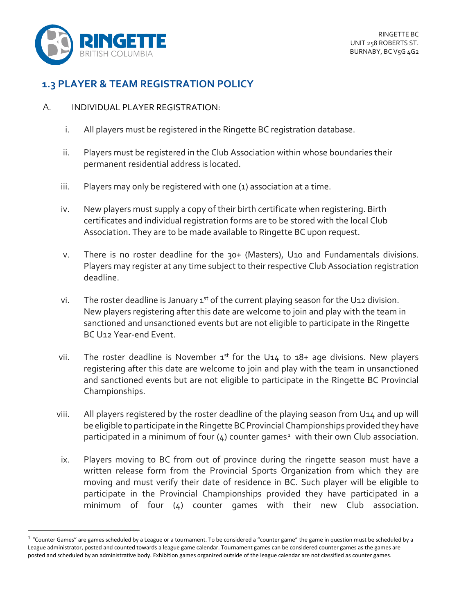

## **1.3 PLAYER & TEAM REGISTRATION POLICY**

## A. INDIVIDUAL PLAYER REGISTRATION:

- i. All players must be registered in the Ringette BC registration database.
- ii. Players must be registered in the Club Association within whose boundaries their permanent residential address is located.
- iii. Players may only be registered with one (1) association at a time.
- iv. New players must supply a copy of their birth certificate when registering. Birth certificates and individual registration forms are to be stored with the local Club Association. They are to be made available to Ringette BC upon request.
- v. There is no roster deadline for the 30+ (Masters), U10 and Fundamentals divisions. Players may register at any time subject to their respective Club Association registration deadline.
- vi. The roster deadline is January  $1^{st}$  of the current playing season for the U12 division. New players registering after this date are welcome to join and play with the team in sanctioned and unsanctioned events but are not eligible to participate in the Ringette BC U12 Year-end Event.
- vii. The roster deadline is November  $1^{st}$  for the U14 to  $18+$  age divisions. New players registering after this date are welcome to join and play with the team in unsanctioned and sanctioned events but are not eligible to participate in the Ringette BC Provincial Championships.
- viii. All players registered by the roster deadline of the playing season from U14 and up will be eligible to participate in the Ringette BC Provincial Championships provided they have participated in a minimum of four  $(4)$  counter games<sup>1</sup> with their own Club association.
- ix. Players moving to BC from out of province during the ringette season must have a written release form from the Provincial Sports Organization from which they are moving and must verify their date of residence in BC. Such player will be eligible to participate in the Provincial Championships provided they have participated in a minimum of four (4) counter games with their new Club association.

 $<sup>1</sup>$  "Counter Games" are games scheduled by a League or a tournament. To be considered a "counter game" the game in question must be scheduled by a</sup> League administrator, posted and counted towards a league game calendar. Tournament games can be considered counter games as the games are posted and scheduled by an administrative body. Exhibition games organized outside of the league calendar are not classified as counter games.